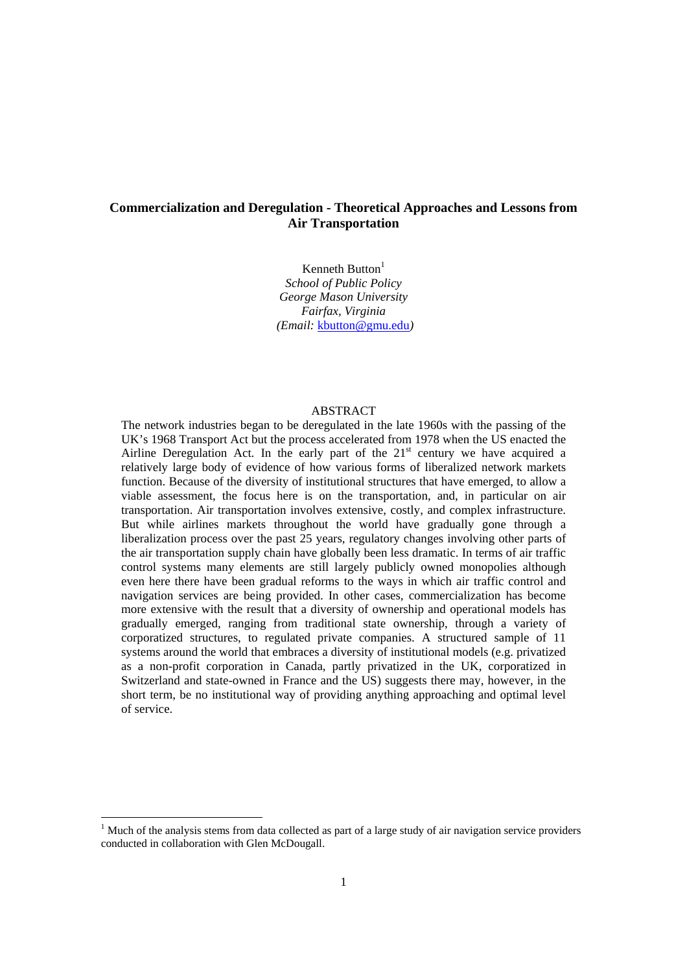# **Commercialization and Deregulation - Theoretical Approaches and Lessons from Air Transportation**

Kenneth Button $<sup>1</sup>$ </sup> *School of Public Policy George Mason University Fairfax, Virginia (Email:* kbutton@gmu.edu*)* 

# ABSTRACT

The network industries began to be deregulated in the late 1960s with the passing of the UK's 1968 Transport Act but the process accelerated from 1978 when the US enacted the Airline Deregulation Act. In the early part of the  $21<sup>st</sup>$  century we have acquired a relatively large body of evidence of how various forms of liberalized network markets function. Because of the diversity of institutional structures that have emerged, to allow a viable assessment, the focus here is on the transportation, and, in particular on air transportation. Air transportation involves extensive, costly, and complex infrastructure. But while airlines markets throughout the world have gradually gone through a liberalization process over the past 25 years, regulatory changes involving other parts of the air transportation supply chain have globally been less dramatic. In terms of air traffic control systems many elements are still largely publicly owned monopolies although even here there have been gradual reforms to the ways in which air traffic control and navigation services are being provided. In other cases, commercialization has become more extensive with the result that a diversity of ownership and operational models has gradually emerged, ranging from traditional state ownership, through a variety of corporatized structures, to regulated private companies. A structured sample of 11 systems around the world that embraces a diversity of institutional models (e.g. privatized as a non-profit corporation in Canada, partly privatized in the UK, corporatized in Switzerland and state-owned in France and the US) suggests there may, however, in the short term, be no institutional way of providing anything approaching and optimal level of service.

<sup>&</sup>lt;sup>1</sup> Much of the analysis stems from data collected as part of a large study of air navigation service providers conducted in collaboration with Glen McDougall.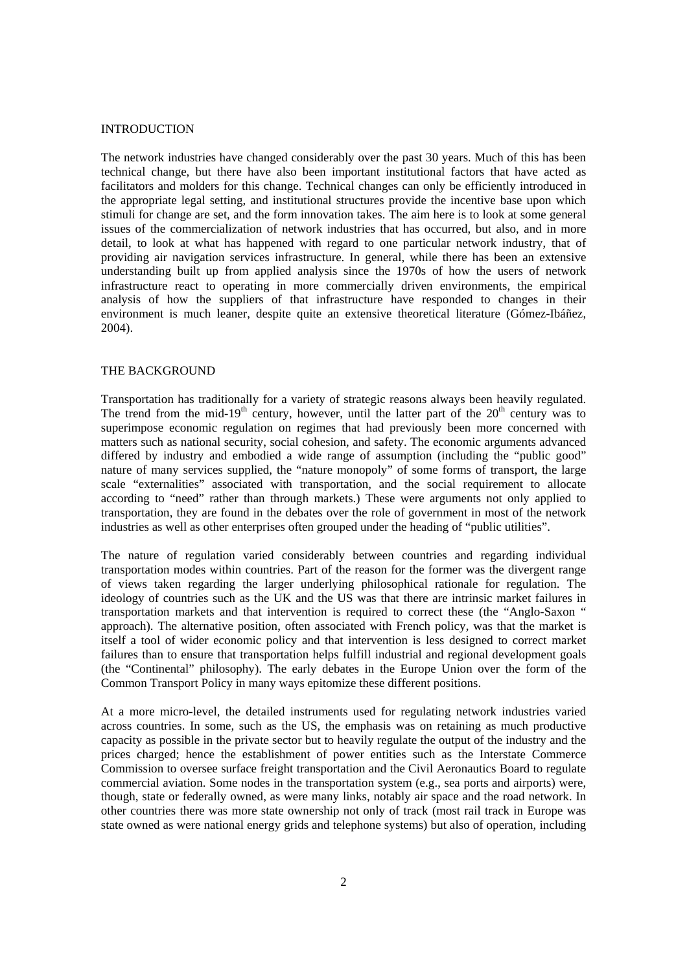# INTRODUCTION

The network industries have changed considerably over the past 30 years. Much of this has been technical change, but there have also been important institutional factors that have acted as facilitators and molders for this change. Technical changes can only be efficiently introduced in the appropriate legal setting, and institutional structures provide the incentive base upon which stimuli for change are set, and the form innovation takes. The aim here is to look at some general issues of the commercialization of network industries that has occurred, but also, and in more detail, to look at what has happened with regard to one particular network industry, that of providing air navigation services infrastructure. In general, while there has been an extensive understanding built up from applied analysis since the 1970s of how the users of network infrastructure react to operating in more commercially driven environments, the empirical analysis of how the suppliers of that infrastructure have responded to changes in their environment is much leaner, despite quite an extensive theoretical literature (Gómez-Ibáñez, 2004).

#### THE BACKGROUND

Transportation has traditionally for a variety of strategic reasons always been heavily regulated. The trend from the mid-19<sup>th</sup> century, however, until the latter part of the  $20<sup>th</sup>$  century was to superimpose economic regulation on regimes that had previously been more concerned with matters such as national security, social cohesion, and safety. The economic arguments advanced differed by industry and embodied a wide range of assumption (including the "public good" nature of many services supplied, the "nature monopoly" of some forms of transport, the large scale "externalities" associated with transportation, and the social requirement to allocate according to "need" rather than through markets.) These were arguments not only applied to transportation, they are found in the debates over the role of government in most of the network industries as well as other enterprises often grouped under the heading of "public utilities".

The nature of regulation varied considerably between countries and regarding individual transportation modes within countries. Part of the reason for the former was the divergent range of views taken regarding the larger underlying philosophical rationale for regulation. The ideology of countries such as the UK and the US was that there are intrinsic market failures in transportation markets and that intervention is required to correct these (the "Anglo-Saxon " approach). The alternative position, often associated with French policy, was that the market is itself a tool of wider economic policy and that intervention is less designed to correct market failures than to ensure that transportation helps fulfill industrial and regional development goals (the "Continental" philosophy). The early debates in the Europe Union over the form of the Common Transport Policy in many ways epitomize these different positions.

At a more micro-level, the detailed instruments used for regulating network industries varied across countries. In some, such as the US, the emphasis was on retaining as much productive capacity as possible in the private sector but to heavily regulate the output of the industry and the prices charged; hence the establishment of power entities such as the Interstate Commerce Commission to oversee surface freight transportation and the Civil Aeronautics Board to regulate commercial aviation. Some nodes in the transportation system (e.g., sea ports and airports) were, though, state or federally owned, as were many links, notably air space and the road network. In other countries there was more state ownership not only of track (most rail track in Europe was state owned as were national energy grids and telephone systems) but also of operation, including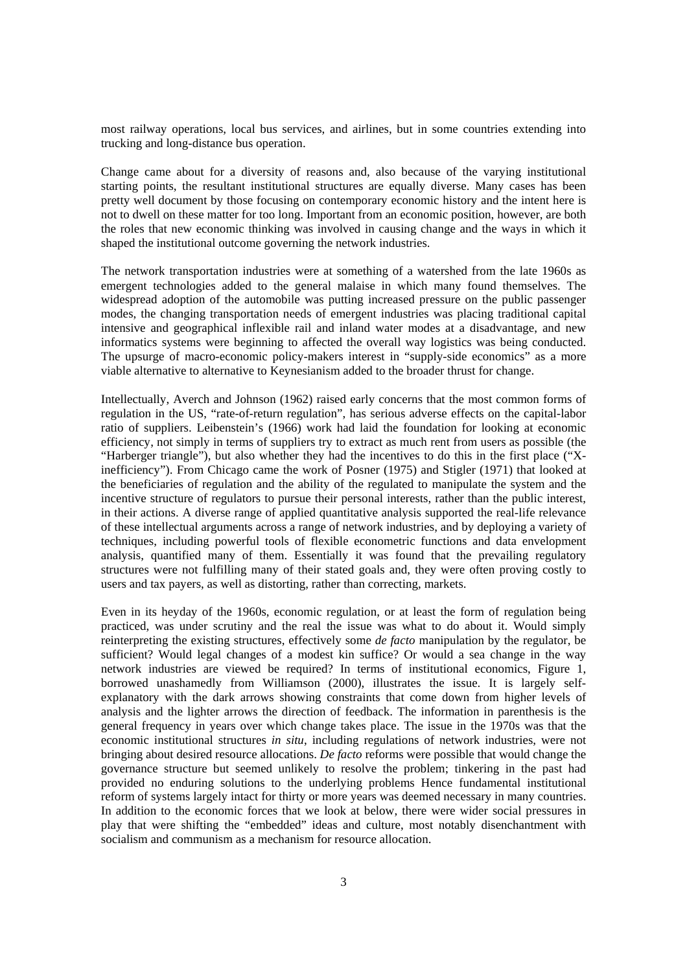most railway operations, local bus services, and airlines, but in some countries extending into trucking and long-distance bus operation.

Change came about for a diversity of reasons and, also because of the varying institutional starting points, the resultant institutional structures are equally diverse. Many cases has been pretty well document by those focusing on contemporary economic history and the intent here is not to dwell on these matter for too long. Important from an economic position, however, are both the roles that new economic thinking was involved in causing change and the ways in which it shaped the institutional outcome governing the network industries.

The network transportation industries were at something of a watershed from the late 1960s as emergent technologies added to the general malaise in which many found themselves. The widespread adoption of the automobile was putting increased pressure on the public passenger modes, the changing transportation needs of emergent industries was placing traditional capital intensive and geographical inflexible rail and inland water modes at a disadvantage, and new informatics systems were beginning to affected the overall way logistics was being conducted. The upsurge of macro-economic policy-makers interest in "supply-side economics" as a more viable alternative to alternative to Keynesianism added to the broader thrust for change.

Intellectually, Averch and Johnson (1962) raised early concerns that the most common forms of regulation in the US, "rate-of-return regulation", has serious adverse effects on the capital-labor ratio of suppliers. Leibenstein's (1966) work had laid the foundation for looking at economic efficiency, not simply in terms of suppliers try to extract as much rent from users as possible (the "Harberger triangle"), but also whether they had the incentives to do this in the first place ("Xinefficiency"). From Chicago came the work of Posner (1975) and Stigler (1971) that looked at the beneficiaries of regulation and the ability of the regulated to manipulate the system and the incentive structure of regulators to pursue their personal interests, rather than the public interest, in their actions. A diverse range of applied quantitative analysis supported the real-life relevance of these intellectual arguments across a range of network industries, and by deploying a variety of techniques, including powerful tools of flexible econometric functions and data envelopment analysis, quantified many of them. Essentially it was found that the prevailing regulatory structures were not fulfilling many of their stated goals and, they were often proving costly to users and tax payers, as well as distorting, rather than correcting, markets.

Even in its heyday of the 1960s, economic regulation, or at least the form of regulation being practiced, was under scrutiny and the real the issue was what to do about it. Would simply reinterpreting the existing structures, effectively some *de facto* manipulation by the regulator, be sufficient? Would legal changes of a modest kin suffice? Or would a sea change in the way network industries are viewed be required? In terms of institutional economics, Figure 1, borrowed unashamedly from Williamson (2000), illustrates the issue. It is largely selfexplanatory with the dark arrows showing constraints that come down from higher levels of analysis and the lighter arrows the direction of feedback. The information in parenthesis is the general frequency in years over which change takes place. The issue in the 1970s was that the economic institutional structures *in situ*, including regulations of network industries, were not bringing about desired resource allocations. *De facto* reforms were possible that would change the governance structure but seemed unlikely to resolve the problem; tinkering in the past had provided no enduring solutions to the underlying problems Hence fundamental institutional reform of systems largely intact for thirty or more years was deemed necessary in many countries. In addition to the economic forces that we look at below, there were wider social pressures in play that were shifting the "embedded" ideas and culture, most notably disenchantment with socialism and communism as a mechanism for resource allocation.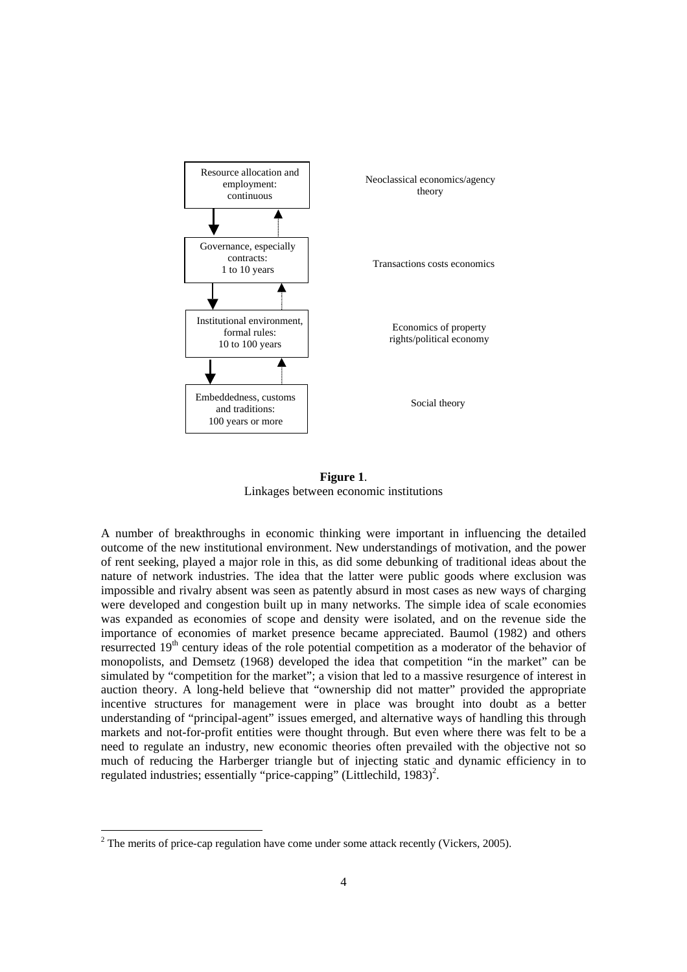

**Figure 1**. Linkages between economic institutions

A number of breakthroughs in economic thinking were important in influencing the detailed outcome of the new institutional environment. New understandings of motivation, and the power of rent seeking, played a major role in this, as did some debunking of traditional ideas about the nature of network industries. The idea that the latter were public goods where exclusion was impossible and rivalry absent was seen as patently absurd in most cases as new ways of charging were developed and congestion built up in many networks. The simple idea of scale economies was expanded as economies of scope and density were isolated, and on the revenue side the importance of economies of market presence became appreciated. Baumol (1982) and others resurrected 19<sup>th</sup> century ideas of the role potential competition as a moderator of the behavior of monopolists, and Demsetz (1968) developed the idea that competition "in the market" can be simulated by "competition for the market"; a vision that led to a massive resurgence of interest in auction theory. A long-held believe that "ownership did not matter" provided the appropriate incentive structures for management were in place was brought into doubt as a better understanding of "principal-agent" issues emerged, and alternative ways of handling this through markets and not-for-profit entities were thought through. But even where there was felt to be a need to regulate an industry, new economic theories often prevailed with the objective not so much of reducing the Harberger triangle but of injecting static and dynamic efficiency in to regulated industries; essentially "price-capping" (Littlechild, 1983)<sup>2</sup>.

 $2^2$  The merits of price-cap regulation have come under some attack recently (Vickers, 2005).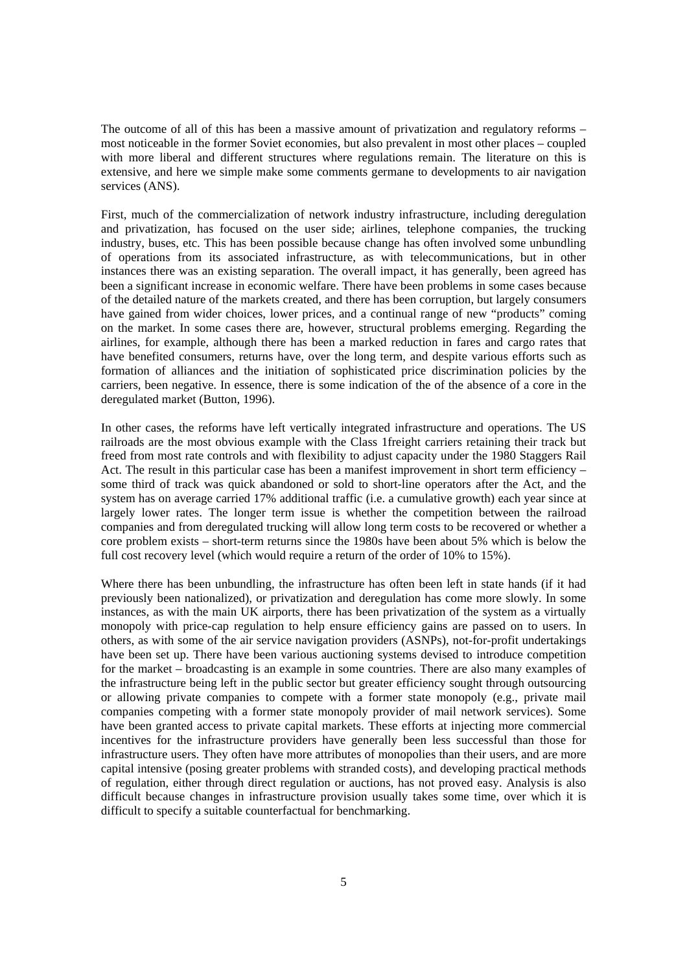The outcome of all of this has been a massive amount of privatization and regulatory reforms – most noticeable in the former Soviet economies, but also prevalent in most other places – coupled with more liberal and different structures where regulations remain. The literature on this is extensive, and here we simple make some comments germane to developments to air navigation services (ANS).

First, much of the commercialization of network industry infrastructure, including deregulation and privatization, has focused on the user side; airlines, telephone companies, the trucking industry, buses, etc. This has been possible because change has often involved some unbundling of operations from its associated infrastructure, as with telecommunications, but in other instances there was an existing separation. The overall impact, it has generally, been agreed has been a significant increase in economic welfare. There have been problems in some cases because of the detailed nature of the markets created, and there has been corruption, but largely consumers have gained from wider choices, lower prices, and a continual range of new "products" coming on the market. In some cases there are, however, structural problems emerging. Regarding the airlines, for example, although there has been a marked reduction in fares and cargo rates that have benefited consumers, returns have, over the long term, and despite various efforts such as formation of alliances and the initiation of sophisticated price discrimination policies by the carriers, been negative. In essence, there is some indication of the of the absence of a core in the deregulated market (Button, 1996).

In other cases, the reforms have left vertically integrated infrastructure and operations. The US railroads are the most obvious example with the Class 1freight carriers retaining their track but freed from most rate controls and with flexibility to adjust capacity under the 1980 Staggers Rail Act. The result in this particular case has been a manifest improvement in short term efficiency – some third of track was quick abandoned or sold to short-line operators after the Act, and the system has on average carried 17% additional traffic (i.e. a cumulative growth) each year since at largely lower rates. The longer term issue is whether the competition between the railroad companies and from deregulated trucking will allow long term costs to be recovered or whether a core problem exists – short-term returns since the 1980s have been about 5% which is below the full cost recovery level (which would require a return of the order of 10% to 15%).

Where there has been unbundling, the infrastructure has often been left in state hands (if it had previously been nationalized), or privatization and deregulation has come more slowly. In some instances, as with the main UK airports, there has been privatization of the system as a virtually monopoly with price-cap regulation to help ensure efficiency gains are passed on to users. In others, as with some of the air service navigation providers (ASNPs), not-for-profit undertakings have been set up. There have been various auctioning systems devised to introduce competition for the market – broadcasting is an example in some countries. There are also many examples of the infrastructure being left in the public sector but greater efficiency sought through outsourcing or allowing private companies to compete with a former state monopoly (e.g., private mail companies competing with a former state monopoly provider of mail network services). Some have been granted access to private capital markets. These efforts at injecting more commercial incentives for the infrastructure providers have generally been less successful than those for infrastructure users. They often have more attributes of monopolies than their users, and are more capital intensive (posing greater problems with stranded costs), and developing practical methods of regulation, either through direct regulation or auctions, has not proved easy. Analysis is also difficult because changes in infrastructure provision usually takes some time, over which it is difficult to specify a suitable counterfactual for benchmarking.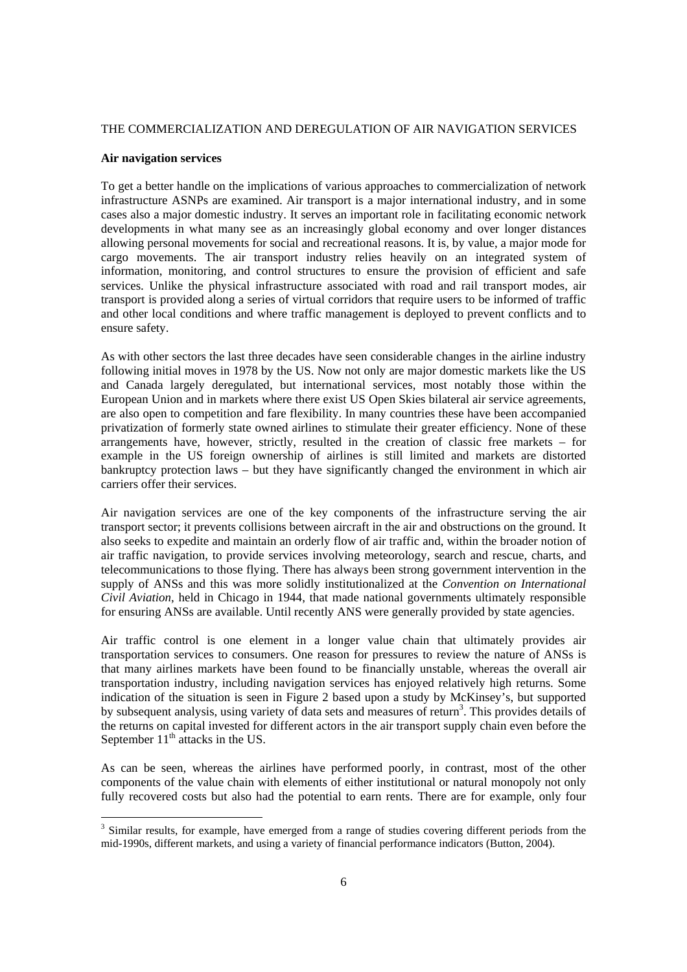# THE COMMERCIALIZATION AND DEREGULATION OF AIR NAVIGATION SERVICES

# **Air navigation services**

To get a better handle on the implications of various approaches to commercialization of network infrastructure ASNPs are examined. Air transport is a major international industry, and in some cases also a major domestic industry. It serves an important role in facilitating economic network developments in what many see as an increasingly global economy and over longer distances allowing personal movements for social and recreational reasons. It is, by value, a major mode for cargo movements. The air transport industry relies heavily on an integrated system of information, monitoring, and control structures to ensure the provision of efficient and safe services. Unlike the physical infrastructure associated with road and rail transport modes, air transport is provided along a series of virtual corridors that require users to be informed of traffic and other local conditions and where traffic management is deployed to prevent conflicts and to ensure safety.

As with other sectors the last three decades have seen considerable changes in the airline industry following initial moves in 1978 by the US. Now not only are major domestic markets like the US and Canada largely deregulated, but international services, most notably those within the European Union and in markets where there exist US Open Skies bilateral air service agreements, are also open to competition and fare flexibility. In many countries these have been accompanied privatization of formerly state owned airlines to stimulate their greater efficiency. None of these arrangements have, however, strictly, resulted in the creation of classic free markets – for example in the US foreign ownership of airlines is still limited and markets are distorted bankruptcy protection laws – but they have significantly changed the environment in which air carriers offer their services.

Air navigation services are one of the key components of the infrastructure serving the air transport sector; it prevents collisions between aircraft in the air and obstructions on the ground. It also seeks to expedite and maintain an orderly flow of air traffic and, within the broader notion of air traffic navigation, to provide services involving meteorology, search and rescue, charts, and telecommunications to those flying. There has always been strong government intervention in the supply of ANSs and this was more solidly institutionalized at the *Convention on International Civil Aviation*, held in Chicago in 1944, that made national governments ultimately responsible for ensuring ANSs are available. Until recently ANS were generally provided by state agencies.

Air traffic control is one element in a longer value chain that ultimately provides air transportation services to consumers. One reason for pressures to review the nature of ANSs is that many airlines markets have been found to be financially unstable, whereas the overall air transportation industry, including navigation services has enjoyed relatively high returns. Some indication of the situation is seen in Figure 2 based upon a study by McKinsey's, but supported by subsequent analysis, using variety of data sets and measures of return<sup>3</sup>. This provides details of the returns on capital invested for different actors in the air transport supply chain even before the September  $11<sup>th</sup>$  attacks in the US.

As can be seen, whereas the airlines have performed poorly, in contrast, most of the other components of the value chain with elements of either institutional or natural monopoly not only fully recovered costs but also had the potential to earn rents. There are for example, only four

<sup>&</sup>lt;sup>3</sup> Similar results, for example, have emerged from a range of studies covering different periods from the mid-1990s, different markets, and using a variety of financial performance indicators (Button, 2004).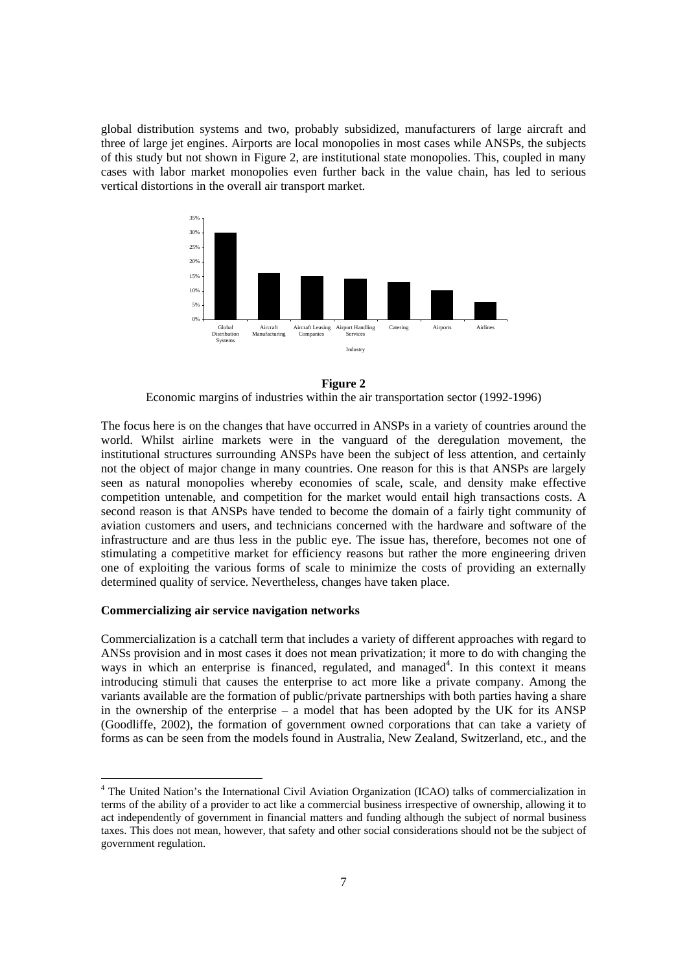global distribution systems and two, probably subsidized, manufacturers of large aircraft and three of large jet engines. Airports are local monopolies in most cases while ANSPs, the subjects of this study but not shown in Figure 2, are institutional state monopolies. This, coupled in many cases with labor market monopolies even further back in the value chain, has led to serious vertical distortions in the overall air transport market.



**Figure 2**

Economic margins of industries within the air transportation sector (1992-1996)

The focus here is on the changes that have occurred in ANSPs in a variety of countries around the world. Whilst airline markets were in the vanguard of the deregulation movement, the institutional structures surrounding ANSPs have been the subject of less attention, and certainly not the object of major change in many countries. One reason for this is that ANSPs are largely seen as natural monopolies whereby economies of scale, scale, and density make effective competition untenable, and competition for the market would entail high transactions costs. A second reason is that ANSPs have tended to become the domain of a fairly tight community of aviation customers and users, and technicians concerned with the hardware and software of the infrastructure and are thus less in the public eye. The issue has, therefore, becomes not one of stimulating a competitive market for efficiency reasons but rather the more engineering driven one of exploiting the various forms of scale to minimize the costs of providing an externally determined quality of service. Nevertheless, changes have taken place.

#### **Commercializing air service navigation networks**

 $\overline{a}$ 

Commercialization is a catchall term that includes a variety of different approaches with regard to ANSs provision and in most cases it does not mean privatization; it more to do with changing the ways in which an enterprise is financed, regulated, and managed<sup>4</sup>. In this context it means introducing stimuli that causes the enterprise to act more like a private company. Among the variants available are the formation of public/private partnerships with both parties having a share in the ownership of the enterprise – a model that has been adopted by the UK for its ANSP (Goodliffe, 2002), the formation of government owned corporations that can take a variety of forms as can be seen from the models found in Australia, New Zealand, Switzerland, etc., and the

<sup>&</sup>lt;sup>4</sup> The United Nation's the International Civil Aviation Organization (ICAO) talks of commercialization in terms of the ability of a provider to act like a commercial business irrespective of ownership, allowing it to act independently of government in financial matters and funding although the subject of normal business taxes. This does not mean, however, that safety and other social considerations should not be the subject of government regulation.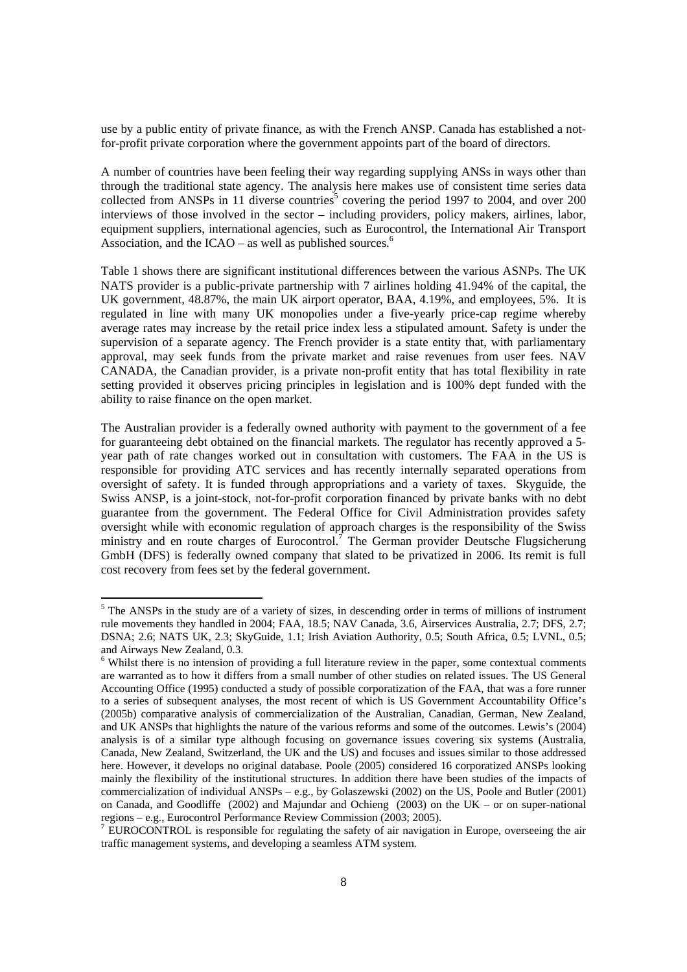use by a public entity of private finance, as with the French ANSP. Canada has established a notfor-profit private corporation where the government appoints part of the board of directors.

A number of countries have been feeling their way regarding supplying ANSs in ways other than through the traditional state agency. The analysis here makes use of consistent time series data collected from ANSPs in 11 diverse countries<sup>5</sup> covering the period 1997 to 2004, and over 200 interviews of those involved in the sector – including providers, policy makers, airlines, labor, equipment suppliers, international agencies, such as Eurocontrol, the International Air Transport Association, and the ICAO – as well as published sources. $<sup>6</sup>$ </sup>

Table 1 shows there are significant institutional differences between the various ASNPs. The UK NATS provider is a public-private partnership with 7 airlines holding 41.94% of the capital, the UK government, 48.87%, the main UK airport operator, BAA, 4.19%, and employees, 5%. It is regulated in line with many UK monopolies under a five-yearly price-cap regime whereby average rates may increase by the retail price index less a stipulated amount. Safety is under the supervision of a separate agency. The French provider is a state entity that, with parliamentary approval, may seek funds from the private market and raise revenues from user fees. NAV CANADA, the Canadian provider, is a private non-profit entity that has total flexibility in rate setting provided it observes pricing principles in legislation and is 100% dept funded with the ability to raise finance on the open market.

The Australian provider is a federally owned authority with payment to the government of a fee for guaranteeing debt obtained on the financial markets. The regulator has recently approved a 5 year path of rate changes worked out in consultation with customers. The FAA in the US is responsible for providing ATC services and has recently internally separated operations from oversight of safety. It is funded through appropriations and a variety of taxes. Skyguide, the Swiss ANSP, is a joint-stock, not-for-profit corporation financed by private banks with no debt guarantee from the government. The Federal Office for Civil Administration provides safety oversight while with economic regulation of approach charges is the responsibility of the Swiss ministry and en route charges of Eurocontrol.<sup>7</sup> The German provider Deutsche Flugsicherung GmbH (DFS) is federally owned company that slated to be privatized in 2006. Its remit is full cost recovery from fees set by the federal government.

<sup>&</sup>lt;sup>5</sup> The ANSPs in the study are of a variety of sizes, in descending order in terms of millions of instrument rule movements they handled in 2004; FAA, 18.5; NAV Canada, 3.6, Airservices Australia, 2.7; DFS, 2.7; DSNA; 2.6; NATS UK, 2.3; SkyGuide, 1.1; Irish Aviation Authority, 0.5; South Africa, 0.5; LVNL, 0.5; and Airways New Zealand, 0.3.

<sup>&</sup>lt;sup>6</sup> Whilst there is no intension of providing a full literature review in the paper, some contextual comments are warranted as to how it differs from a small number of other studies on related issues. The US General Accounting Office (1995) conducted a study of possible corporatization of the FAA, that was a fore runner to a series of subsequent analyses, the most recent of which is US Government Accountability Office's (2005b) comparative analysis of commercialization of the Australian, Canadian, German, New Zealand, and UK ANSPs that highlights the nature of the various reforms and some of the outcomes. Lewis's (2004) analysis is of a similar type although focusing on governance issues covering six systems (Australia, Canada, New Zealand, Switzerland, the UK and the US) and focuses and issues similar to those addressed here. However, it develops no original database. Poole (2005) considered 16 corporatized ANSPs looking mainly the flexibility of the institutional structures. In addition there have been studies of the impacts of commercialization of individual ANSPs – e.g., by Golaszewski (2002) on the US, Poole and Butler (2001) on Canada, and Goodliffe (2002) and Majundar and Ochieng (2003) on the UK – or on super-national regions – e.g., Eurocontrol Performance Review Commission (2003; 2005).

 $7$  EUROCONTROL is responsible for regulating the safety of air navigation in Europe, overseeing the air traffic management systems, and developing a seamless ATM system.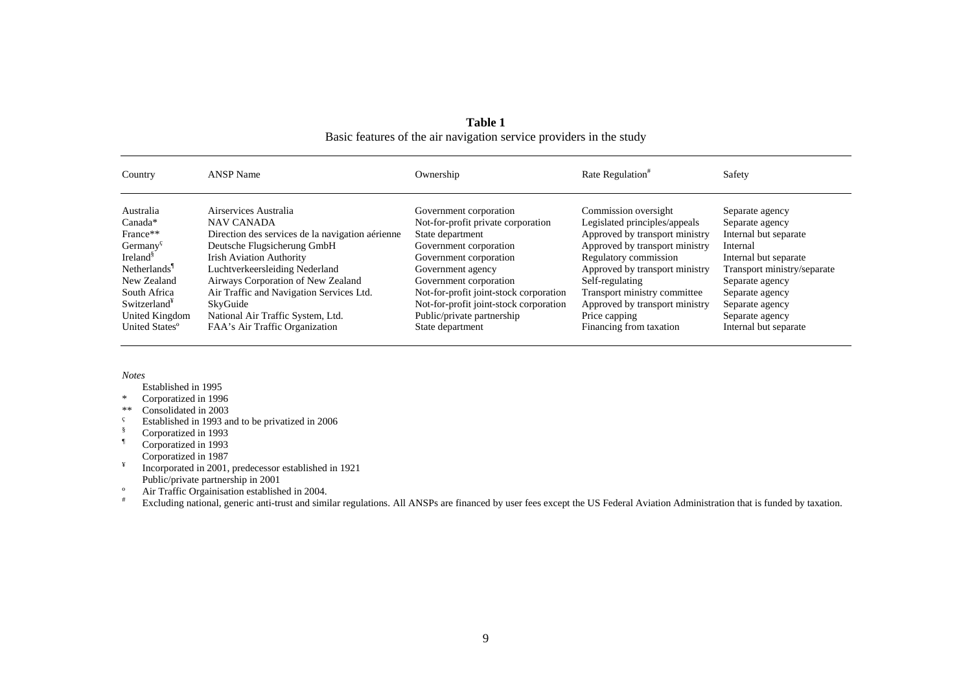| Country                                   | <b>ANSP Name</b>                                 | Ownership                              | Rate Regulation <sup>#</sup>   | Safety                      |
|-------------------------------------------|--------------------------------------------------|----------------------------------------|--------------------------------|-----------------------------|
| Australia                                 | Airservices Australia                            | Government corporation                 | Commission oversight           | Separate agency             |
| Canada*                                   | <b>NAV CANADA</b>                                | Not-for-profit private corporation     | Legislated principles/appeals  | Separate agency             |
| France**                                  | Direction des services de la navigation aérienne | State department                       | Approved by transport ministry | Internal but separate       |
| Germany <sup><math>\varsigma</math></sup> | Deutsche Flugsicherung GmbH                      | Government corporation                 | Approved by transport ministry | Internal                    |
| Ireland <sup>§</sup>                      | <b>Irish Aviation Authority</b>                  | Government corporation                 | Regulatory commission          | Internal but separate       |
| Netherlands                               | Luchtverkeersleiding Nederland                   | Government agency                      | Approved by transport ministry | Transport ministry/separate |
| New Zealand                               | Airways Corporation of New Zealand               | Government corporation                 | Self-regulating                | Separate agency             |
| South Africa                              | Air Traffic and Navigation Services Ltd.         | Not-for-profit joint-stock corporation | Transport ministry committee   | Separate agency             |
| Switzerland <sup>*</sup>                  | SkyGuide                                         | Not-for-profit joint-stock corporation | Approved by transport ministry | Separate agency             |
| United Kingdom                            | National Air Traffic System, Ltd.                | Public/private partnership             | Price capping                  | Separate agency             |
| United States <sup>o</sup>                | FAA's Air Traffic Organization                   | State department                       | Financing from taxation        | Internal but separate       |

**Table 1**Basic features of the air navigation service providers in the study

*Notes* 

Established in 1995

\* Corporatized in 1996

- \*\* Consolidated in 2003
- Established in 1993 and to be privatized in 2006<br>S Corporatized in 1993
- § Corporatized in 1993
- ¶ Corporatized in 1993

Corporatized in 1987

<sup>¥</sup> Incorporated in 2001, predecessor established in 1921 Public/private partnership in 2001

º Air Traffic Orgainisation established in 2004.

Excluding national, generic anti-trust and similar regulations. All ANSPs are financed by user fees except the US Federal Aviation Administration that is funded by taxation.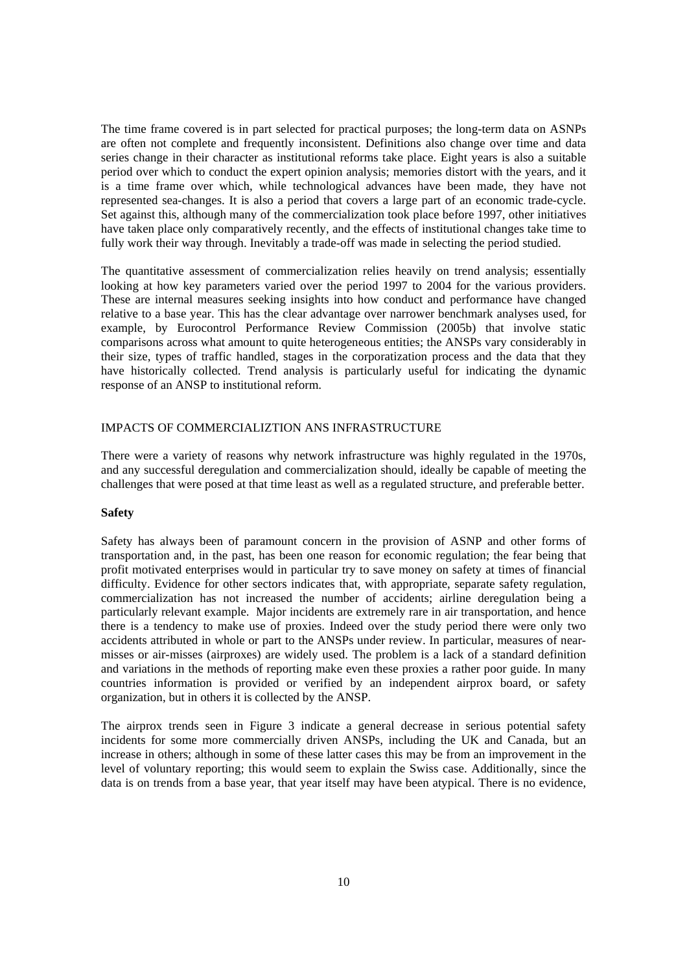The time frame covered is in part selected for practical purposes; the long-term data on ASNPs are often not complete and frequently inconsistent. Definitions also change over time and data series change in their character as institutional reforms take place. Eight years is also a suitable period over which to conduct the expert opinion analysis; memories distort with the years, and it is a time frame over which, while technological advances have been made, they have not represented sea-changes. It is also a period that covers a large part of an economic trade-cycle. Set against this, although many of the commercialization took place before 1997, other initiatives have taken place only comparatively recently, and the effects of institutional changes take time to fully work their way through. Inevitably a trade-off was made in selecting the period studied.

The quantitative assessment of commercialization relies heavily on trend analysis; essentially looking at how key parameters varied over the period 1997 to 2004 for the various providers. These are internal measures seeking insights into how conduct and performance have changed relative to a base year. This has the clear advantage over narrower benchmark analyses used, for example, by Eurocontrol Performance Review Commission (2005b) that involve static comparisons across what amount to quite heterogeneous entities; the ANSPs vary considerably in their size, types of traffic handled, stages in the corporatization process and the data that they have historically collected. Trend analysis is particularly useful for indicating the dynamic response of an ANSP to institutional reform.

# IMPACTS OF COMMERCIALIZTION ANS INFRASTRUCTURE

There were a variety of reasons why network infrastructure was highly regulated in the 1970s, and any successful deregulation and commercialization should, ideally be capable of meeting the challenges that were posed at that time least as well as a regulated structure, and preferable better.

# **Safety**

Safety has always been of paramount concern in the provision of ASNP and other forms of transportation and, in the past, has been one reason for economic regulation; the fear being that profit motivated enterprises would in particular try to save money on safety at times of financial difficulty. Evidence for other sectors indicates that, with appropriate, separate safety regulation, commercialization has not increased the number of accidents; airline deregulation being a particularly relevant example. Major incidents are extremely rare in air transportation, and hence there is a tendency to make use of proxies. Indeed over the study period there were only two accidents attributed in whole or part to the ANSPs under review. In particular, measures of nearmisses or air-misses (airproxes) are widely used. The problem is a lack of a standard definition and variations in the methods of reporting make even these proxies a rather poor guide. In many countries information is provided or verified by an independent airprox board, or safety organization, but in others it is collected by the ANSP.

The airprox trends seen in Figure 3 indicate a general decrease in serious potential safety incidents for some more commercially driven ANSPs, including the UK and Canada, but an increase in others; although in some of these latter cases this may be from an improvement in the level of voluntary reporting; this would seem to explain the Swiss case. Additionally, since the data is on trends from a base year, that year itself may have been atypical. There is no evidence,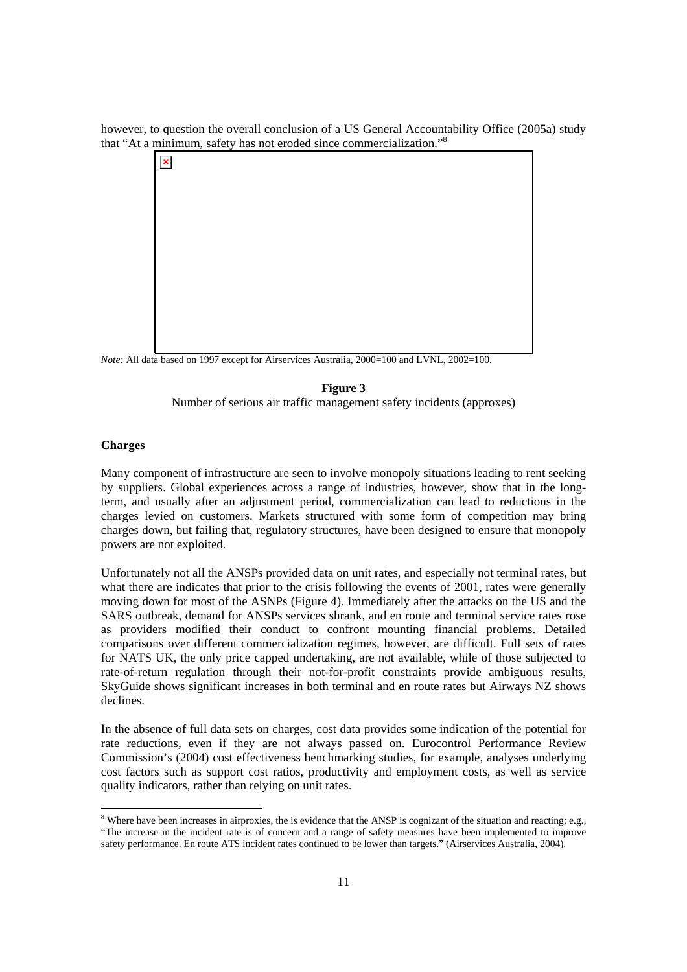however, to question the overall conclusion of a US General Accountability Office (2005a) study that "At a minimum, safety has not eroded since commercialization."8



*Note:* All data based on 1997 except for Airservices Australia, 2000=100 and LVNL, 2002=100.

# **Figure 3**

Number of serious air traffic management safety incidents (approxes)

# **Charges**

Many component of infrastructure are seen to involve monopoly situations leading to rent seeking by suppliers. Global experiences across a range of industries, however, show that in the longterm, and usually after an adjustment period, commercialization can lead to reductions in the charges levied on customers. Markets structured with some form of competition may bring charges down, but failing that, regulatory structures, have been designed to ensure that monopoly powers are not exploited.

Unfortunately not all the ANSPs provided data on unit rates, and especially not terminal rates, but what there are indicates that prior to the crisis following the events of 2001, rates were generally moving down for most of the ASNPs (Figure 4). Immediately after the attacks on the US and the SARS outbreak, demand for ANSPs services shrank, and en route and terminal service rates rose as providers modified their conduct to confront mounting financial problems. Detailed comparisons over different commercialization regimes, however, are difficult. Full sets of rates for NATS UK, the only price capped undertaking, are not available, while of those subjected to rate-of-return regulation through their not-for-profit constraints provide ambiguous results, SkyGuide shows significant increases in both terminal and en route rates but Airways NZ shows declines.

In the absence of full data sets on charges, cost data provides some indication of the potential for rate reductions, even if they are not always passed on. Eurocontrol Performance Review Commission's (2004) cost effectiveness benchmarking studies, for example, analyses underlying cost factors such as support cost ratios, productivity and employment costs, as well as service quality indicators, rather than relying on unit rates.

<sup>&</sup>lt;sup>8</sup> Where have been increases in airproxies, the is evidence that the ANSP is cognizant of the situation and reacting; e.g., "The increase in the incident rate is of concern and a range of safety measures have been implemented to improve safety performance. En route ATS incident rates continued to be lower than targets." (Airservices Australia, 2004).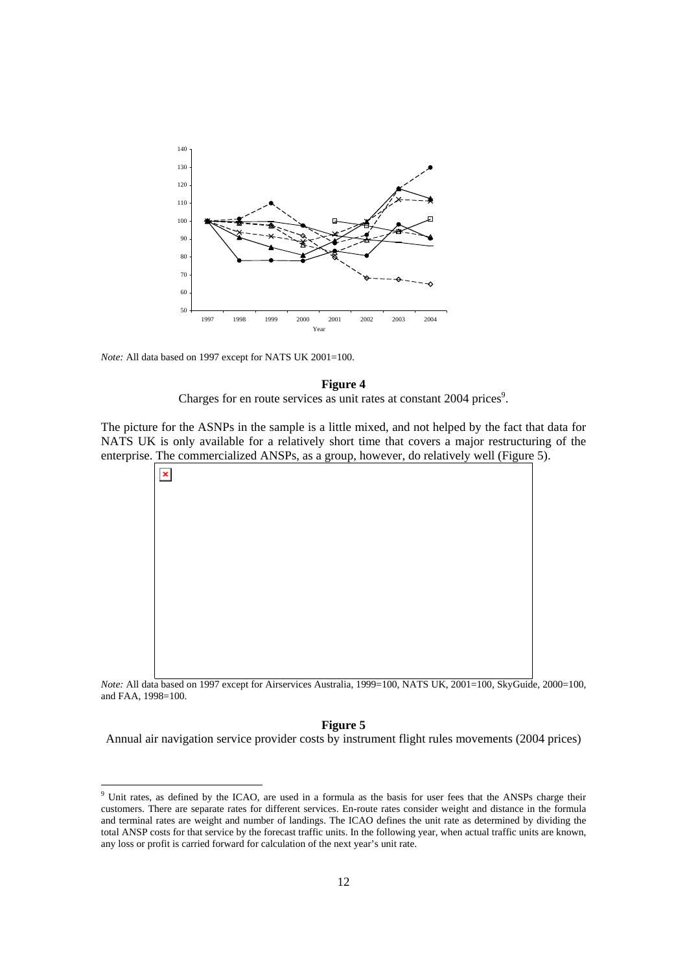

*Note:* All data based on 1997 except for NATS UK 2001=100.

### **Figure 4**

Charges for en route services as unit rates at constant 2004 prices<sup>9</sup>.

The picture for the ASNPs in the sample is a little mixed, and not helped by the fact that data for NATS UK is only available for a relatively short time that covers a major restructuring of the enterprise. The commercialized ANSPs, as a group, however, do relatively well (Figure 5).



*Note:* All data based on 1997 except for Airservices Australia, 1999=100, NATS UK, 2001=100, SkyGuide, 2000=100, and FAA, 1998=100.

### **Figure 5**

Annual air navigation service provider costs by instrument flight rules movements (2004 prices)

<sup>&</sup>lt;sup>9</sup> Unit rates, as defined by the ICAO, are used in a formula as the basis for user fees that the ANSPs charge their customers. There are separate rates for different services. En-route rates consider weight and distance in the formula and terminal rates are weight and number of landings. The ICAO defines the unit rate as determined by dividing the total ANSP costs for that service by the forecast traffic units. In the following year, when actual traffic units are known, any loss or profit is carried forward for calculation of the next year's unit rate.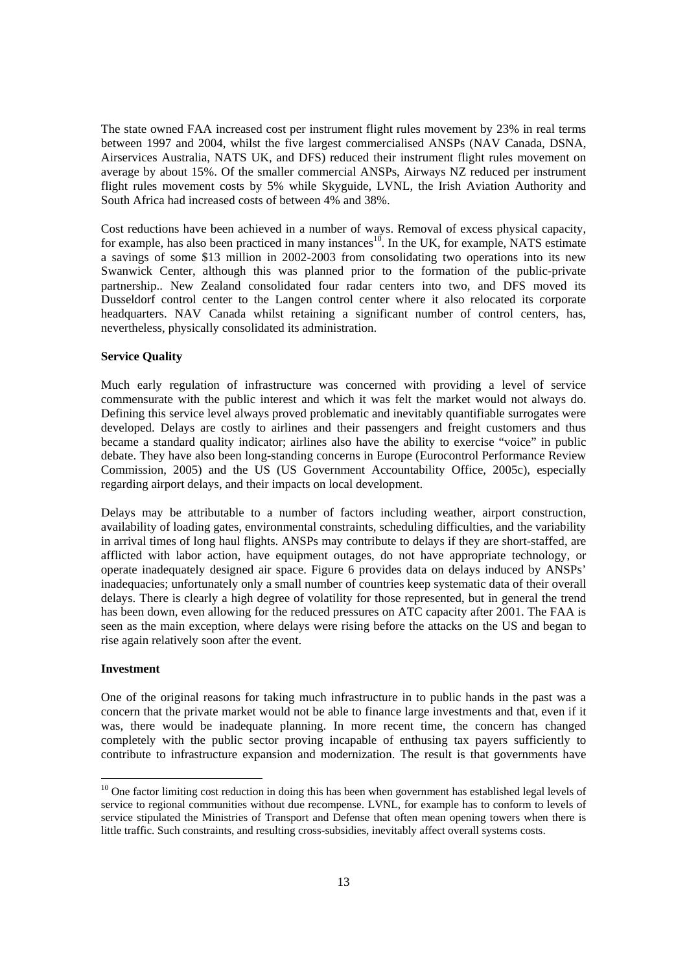The state owned FAA increased cost per instrument flight rules movement by 23% in real terms between 1997 and 2004, whilst the five largest commercialised ANSPs (NAV Canada, DSNA, Airservices Australia, NATS UK, and DFS) reduced their instrument flight rules movement on average by about 15%. Of the smaller commercial ANSPs, Airways NZ reduced per instrument flight rules movement costs by 5% while Skyguide, LVNL, the Irish Aviation Authority and South Africa had increased costs of between 4% and 38%.

Cost reductions have been achieved in a number of ways. Removal of excess physical capacity, for example, has also been practiced in many instances<sup>10</sup>. In the UK, for example, NATS estimate a savings of some \$13 million in 2002-2003 from consolidating two operations into its new Swanwick Center, although this was planned prior to the formation of the public-private partnership.. New Zealand consolidated four radar centers into two, and DFS moved its Dusseldorf control center to the Langen control center where it also relocated its corporate headquarters. NAV Canada whilst retaining a significant number of control centers, has, nevertheless, physically consolidated its administration.

#### **Service Quality**

Much early regulation of infrastructure was concerned with providing a level of service commensurate with the public interest and which it was felt the market would not always do. Defining this service level always proved problematic and inevitably quantifiable surrogates were developed. Delays are costly to airlines and their passengers and freight customers and thus became a standard quality indicator; airlines also have the ability to exercise "voice" in public debate. They have also been long-standing concerns in Europe (Eurocontrol Performance Review Commission, 2005) and the US (US Government Accountability Office, 2005c), especially regarding airport delays, and their impacts on local development.

Delays may be attributable to a number of factors including weather, airport construction, availability of loading gates, environmental constraints, scheduling difficulties, and the variability in arrival times of long haul flights. ANSPs may contribute to delays if they are short-staffed, are afflicted with labor action, have equipment outages, do not have appropriate technology, or operate inadequately designed air space. Figure 6 provides data on delays induced by ANSPs' inadequacies; unfortunately only a small number of countries keep systematic data of their overall delays. There is clearly a high degree of volatility for those represented, but in general the trend has been down, even allowing for the reduced pressures on ATC capacity after 2001. The FAA is seen as the main exception, where delays were rising before the attacks on the US and began to rise again relatively soon after the event.

# **Investment**

 $\overline{a}$ 

One of the original reasons for taking much infrastructure in to public hands in the past was a concern that the private market would not be able to finance large investments and that, even if it was, there would be inadequate planning. In more recent time, the concern has changed completely with the public sector proving incapable of enthusing tax payers sufficiently to contribute to infrastructure expansion and modernization. The result is that governments have

 $10$  One factor limiting cost reduction in doing this has been when government has established legal levels of service to regional communities without due recompense. LVNL, for example has to conform to levels of service stipulated the Ministries of Transport and Defense that often mean opening towers when there is little traffic. Such constraints, and resulting cross-subsidies, inevitably affect overall systems costs.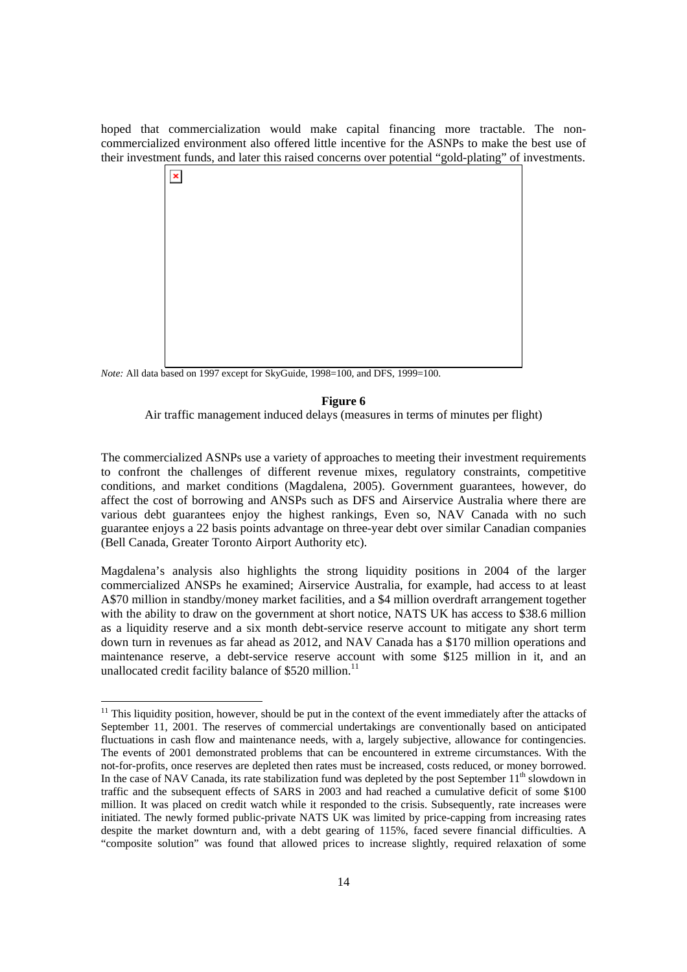hoped that commercialization would make capital financing more tractable. The noncommercialized environment also offered little incentive for the ASNPs to make the best use of their investment funds, and later this raised concerns over potential "gold-plating" of investments.



*Note:* All data based on 1997 except for SkyGuide, 1998=100, and DFS, 1999=100.

l

#### **Figure 6**

Air traffic management induced delays (measures in terms of minutes per flight)

The commercialized ASNPs use a variety of approaches to meeting their investment requirements to confront the challenges of different revenue mixes, regulatory constraints, competitive conditions, and market conditions (Magdalena, 2005). Government guarantees, however, do affect the cost of borrowing and ANSPs such as DFS and Airservice Australia where there are various debt guarantees enjoy the highest rankings, Even so, NAV Canada with no such guarantee enjoys a 22 basis points advantage on three-year debt over similar Canadian companies (Bell Canada, Greater Toronto Airport Authority etc).

Magdalena's analysis also highlights the strong liquidity positions in 2004 of the larger commercialized ANSPs he examined; Airservice Australia, for example, had access to at least A\$70 million in standby/money market facilities, and a \$4 million overdraft arrangement together with the ability to draw on the government at short notice, NATS UK has access to \$38.6 million as a liquidity reserve and a six month debt-service reserve account to mitigate any short term down turn in revenues as far ahead as 2012, and NAV Canada has a \$170 million operations and maintenance reserve, a debt-service reserve account with some \$125 million in it, and an unallocated credit facility balance of \$520 million.<sup>11</sup>

 $11$  This liquidity position, however, should be put in the context of the event immediately after the attacks of September 11, 2001. The reserves of commercial undertakings are conventionally based on anticipated fluctuations in cash flow and maintenance needs, with a, largely subjective, allowance for contingencies. The events of 2001 demonstrated problems that can be encountered in extreme circumstances. With the not-for-profits, once reserves are depleted then rates must be increased, costs reduced, or money borrowed. In the case of NAV Canada, its rate stabilization fund was depleted by the post September 11<sup>th</sup> slowdown in traffic and the subsequent effects of SARS in 2003 and had reached a cumulative deficit of some \$100 million. It was placed on credit watch while it responded to the crisis. Subsequently, rate increases were initiated. The newly formed public-private NATS UK was limited by price-capping from increasing rates despite the market downturn and, with a debt gearing of 115%, faced severe financial difficulties. A "composite solution" was found that allowed prices to increase slightly, required relaxation of some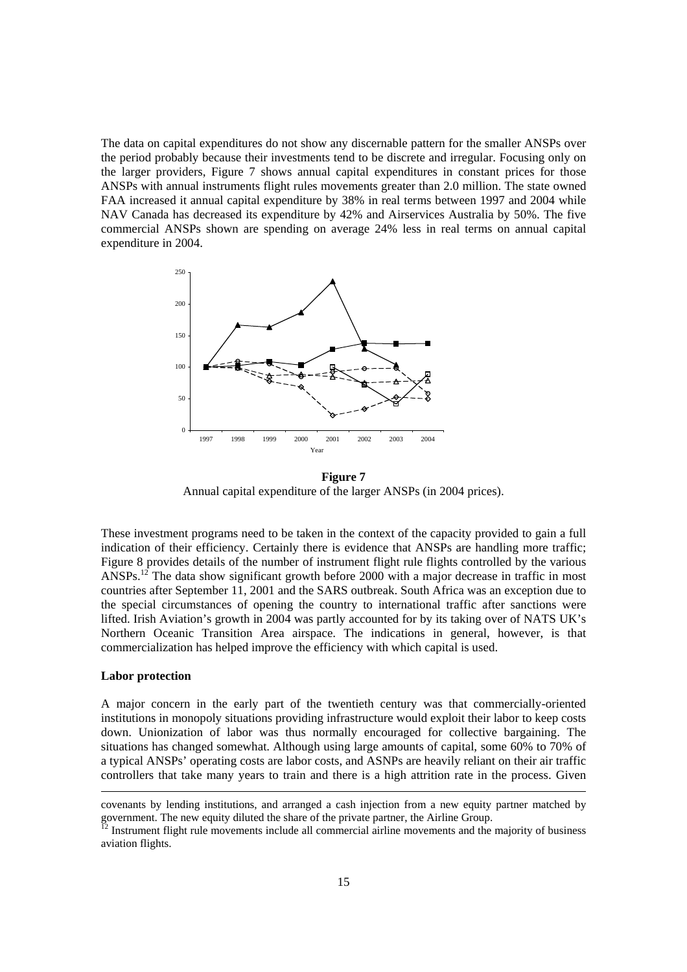The data on capital expenditures do not show any discernable pattern for the smaller ANSPs over the period probably because their investments tend to be discrete and irregular. Focusing only on the larger providers, Figure 7 shows annual capital expenditures in constant prices for those ANSPs with annual instruments flight rules movements greater than 2.0 million. The state owned FAA increased it annual capital expenditure by 38% in real terms between 1997 and 2004 while NAV Canada has decreased its expenditure by 42% and Airservices Australia by 50%. The five commercial ANSPs shown are spending on average 24% less in real terms on annual capital expenditure in 2004.



**Figure 7**  Annual capital expenditure of the larger ANSPs (in 2004 prices).

These investment programs need to be taken in the context of the capacity provided to gain a full indication of their efficiency. Certainly there is evidence that ANSPs are handling more traffic; Figure 8 provides details of the number of instrument flight rule flights controlled by the various ANSPs.<sup>12</sup> The data show significant growth before 2000 with a major decrease in traffic in most countries after September 11, 2001 and the SARS outbreak. South Africa was an exception due to the special circumstances of opening the country to international traffic after sanctions were lifted. Irish Aviation's growth in 2004 was partly accounted for by its taking over of NATS UK's Northern Oceanic Transition Area airspace. The indications in general, however, is that commercialization has helped improve the efficiency with which capital is used.

# **Labor protection**

A major concern in the early part of the twentieth century was that commercially-oriented institutions in monopoly situations providing infrastructure would exploit their labor to keep costs down. Unionization of labor was thus normally encouraged for collective bargaining. The situations has changed somewhat. Although using large amounts of capital, some 60% to 70% of a typical ANSPs' operating costs are labor costs, and ASNPs are heavily reliant on their air traffic controllers that take many years to train and there is a high attrition rate in the process. Given

covenants by lending institutions, and arranged a cash injection from a new equity partner matched by government. The new equity diluted the share of the private partner, the Airline Group.

 $^{12}$  Instrument flight rule movements include all commercial airline movements and the majority of business aviation flights.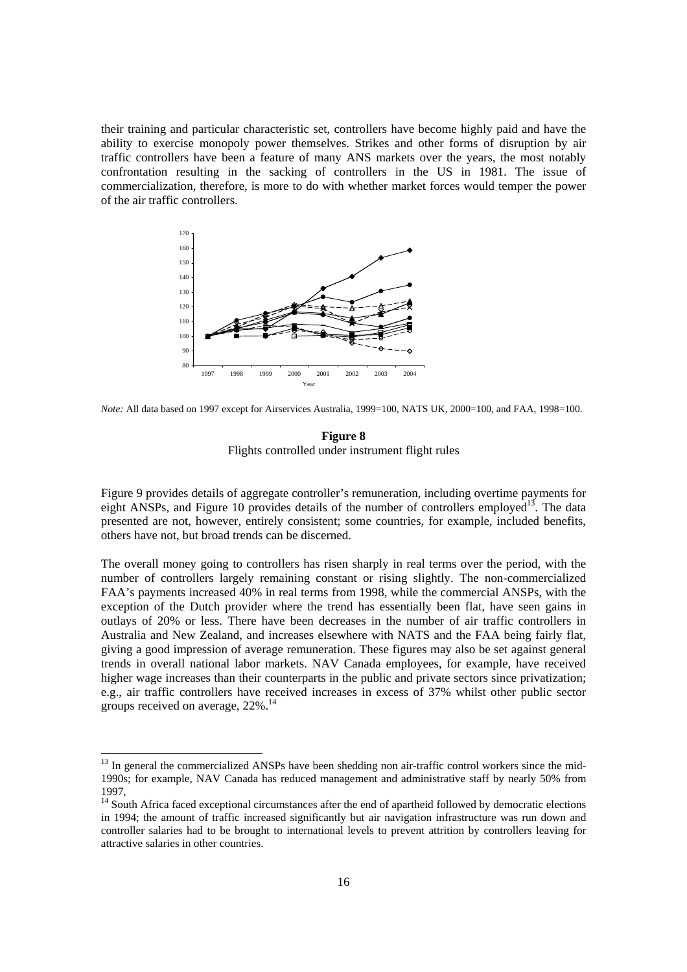their training and particular characteristic set, controllers have become highly paid and have the ability to exercise monopoly power themselves. Strikes and other forms of disruption by air traffic controllers have been a feature of many ANS markets over the years, the most notably confrontation resulting in the sacking of controllers in the US in 1981. The issue of commercialization, therefore, is more to do with whether market forces would temper the power of the air traffic controllers.



*Note:* All data based on 1997 except for Airservices Australia, 1999=100, NATS UK, 2000=100, and FAA, 1998=100.

# **Figure 8**  Flights controlled under instrument flight rules

Figure 9 provides details of aggregate controller's remuneration, including overtime payments for eight ANSPs, and Figure 10 provides details of the number of controllers employed<sup>13</sup>. The data presented are not, however, entirely consistent; some countries, for example, included benefits, others have not, but broad trends can be discerned.

The overall money going to controllers has risen sharply in real terms over the period, with the number of controllers largely remaining constant or rising slightly. The non-commercialized FAA's payments increased 40% in real terms from 1998, while the commercial ANSPs, with the exception of the Dutch provider where the trend has essentially been flat, have seen gains in outlays of 20% or less. There have been decreases in the number of air traffic controllers in Australia and New Zealand, and increases elsewhere with NATS and the FAA being fairly flat, giving a good impression of average remuneration. These figures may also be set against general trends in overall national labor markets. NAV Canada employees, for example, have received higher wage increases than their counterparts in the public and private sectors since privatization; e.g., air traffic controllers have received increases in excess of 37% whilst other public sector groups received on average, 22%.14

<sup>&</sup>lt;sup>13</sup> In general the commercialized ANSPs have been shedding non air-traffic control workers since the mid-1990s; for example, NAV Canada has reduced management and administrative staff by nearly 50% from 1997,

<sup>&</sup>lt;sup>14</sup> South Africa faced exceptional circumstances after the end of apartheid followed by democratic elections in 1994; the amount of traffic increased significantly but air navigation infrastructure was run down and controller salaries had to be brought to international levels to prevent attrition by controllers leaving for attractive salaries in other countries.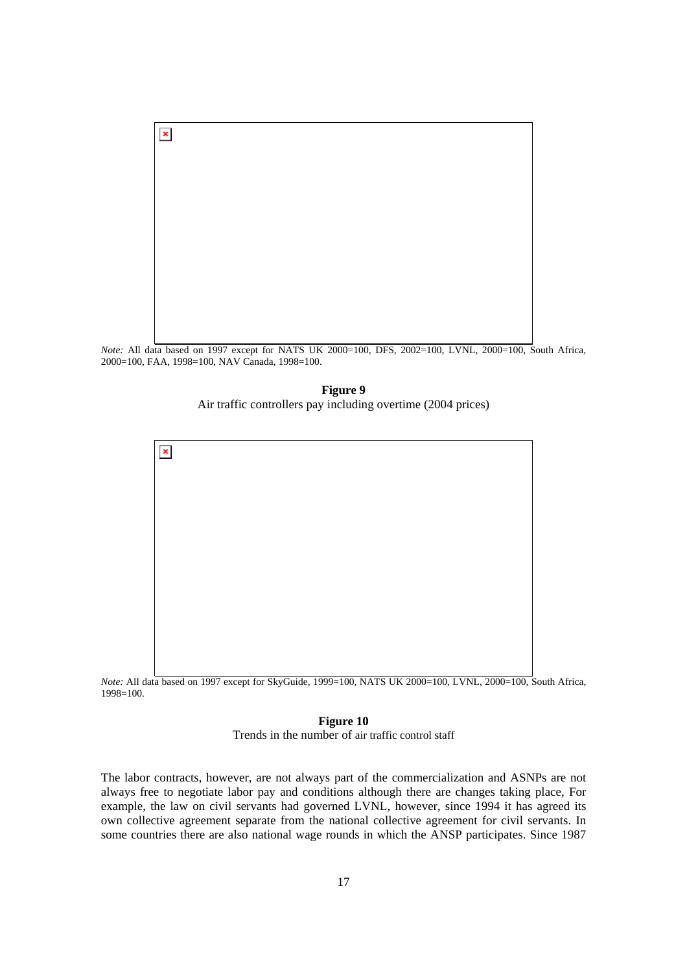

*Note:* All data based on 1997 except for NATS UK 2000=100, DFS, 2002=100, LVNL, 2000=100, South Africa, 2000=100, FAA, 1998=100, NAV Canada, 1998=100.

**Figure 9**  Air traffic controllers pay including overtime (2004 prices)



*Note:* All data based on 1997 except for SkyGuide, 1999=100, NATS UK 2000=100, LVNL, 2000=100, South Africa, 1998=100.

**Figure 10**  Trends in the number of air traffic control staff

The labor contracts, however, are not always part of the commercialization and ASNPs are not always free to negotiate labor pay and conditions although there are changes taking place, For example, the law on civil servants had governed LVNL, however, since 1994 it has agreed its own collective agreement separate from the national collective agreement for civil servants. In some countries there are also national wage rounds in which the ANSP participates. Since 1987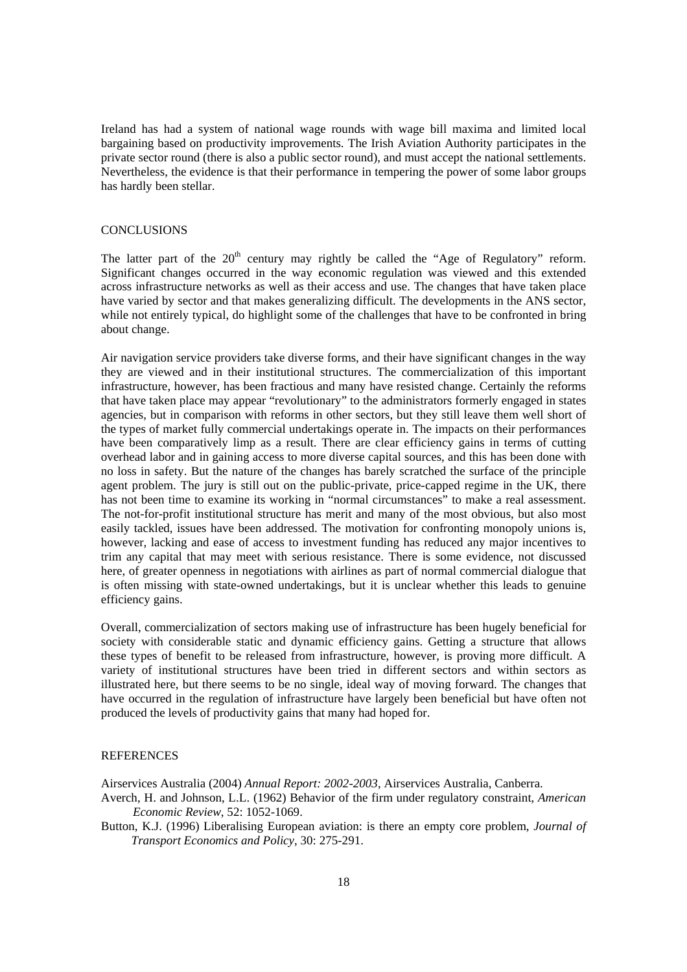Ireland has had a system of national wage rounds with wage bill maxima and limited local bargaining based on productivity improvements. The Irish Aviation Authority participates in the private sector round (there is also a public sector round), and must accept the national settlements. Nevertheless, the evidence is that their performance in tempering the power of some labor groups has hardly been stellar.

# **CONCLUSIONS**

The latter part of the  $20<sup>th</sup>$  century may rightly be called the "Age of Regulatory" reform. Significant changes occurred in the way economic regulation was viewed and this extended across infrastructure networks as well as their access and use. The changes that have taken place have varied by sector and that makes generalizing difficult. The developments in the ANS sector, while not entirely typical, do highlight some of the challenges that have to be confronted in bring about change.

Air navigation service providers take diverse forms, and their have significant changes in the way they are viewed and in their institutional structures. The commercialization of this important infrastructure, however, has been fractious and many have resisted change. Certainly the reforms that have taken place may appear "revolutionary" to the administrators formerly engaged in states agencies, but in comparison with reforms in other sectors, but they still leave them well short of the types of market fully commercial undertakings operate in. The impacts on their performances have been comparatively limp as a result. There are clear efficiency gains in terms of cutting overhead labor and in gaining access to more diverse capital sources, and this has been done with no loss in safety. But the nature of the changes has barely scratched the surface of the principle agent problem. The jury is still out on the public-private, price-capped regime in the UK, there has not been time to examine its working in "normal circumstances" to make a real assessment. The not-for-profit institutional structure has merit and many of the most obvious, but also most easily tackled, issues have been addressed. The motivation for confronting monopoly unions is, however, lacking and ease of access to investment funding has reduced any major incentives to trim any capital that may meet with serious resistance. There is some evidence, not discussed here, of greater openness in negotiations with airlines as part of normal commercial dialogue that is often missing with state-owned undertakings, but it is unclear whether this leads to genuine efficiency gains.

Overall, commercialization of sectors making use of infrastructure has been hugely beneficial for society with considerable static and dynamic efficiency gains. Getting a structure that allows these types of benefit to be released from infrastructure, however, is proving more difficult. A variety of institutional structures have been tried in different sectors and within sectors as illustrated here, but there seems to be no single, ideal way of moving forward. The changes that have occurred in the regulation of infrastructure have largely been beneficial but have often not produced the levels of productivity gains that many had hoped for.

# **REFERENCES**

Airservices Australia (2004) *Annual Report: 2002-2003*, Airservices Australia, Canberra.

Averch, H. and Johnson, L.L. (1962) Behavior of the firm under regulatory constraint, *American Economic Review*, 52: 1052-1069.

Button, K.J. (1996) Liberalising European aviation: is there an empty core problem, *Journal of Transport Economics and Policy*, 30: 275-291.